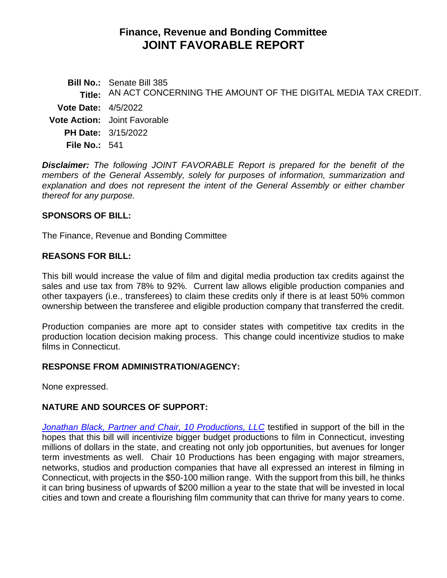# **Finance, Revenue and Bonding Committee JOINT FAVORABLE REPORT**

**Bill No.:** Senate Bill 385 **Title:** AN ACT CONCERNING THE AMOUNT OF THE DIGITAL MEDIA TAX CREDIT. **Vote Date:** 4/5/2022 **Vote Action:** Joint Favorable **PH Date:** 3/15/2022 **File No.:** 541

*Disclaimer: The following JOINT FAVORABLE Report is prepared for the benefit of the members of the General Assembly, solely for purposes of information, summarization and explanation and does not represent the intent of the General Assembly or either chamber thereof for any purpose.*

## **SPONSORS OF BILL:**

The Finance, Revenue and Bonding Committee

### **REASONS FOR BILL:**

This bill would increase the value of film and digital media production tax credits against the sales and use tax from 78% to 92%. Current law allows eligible production companies and other taxpayers (i.e., transferees) to claim these credits only if there is at least 50% common ownership between the transferee and eligible production company that transferred the credit.

Production companies are more apt to consider states with competitive tax credits in the production location decision making process. This change could incentivize studios to make films in Connecticut.

## **RESPONSE FROM ADMINISTRATION/AGENCY:**

None expressed.

## **NATURE AND SOURCES OF SUPPORT:**

*[Jonathan Black, Partner and](https://cga.ct.gov/2022/FINdata/Tmy/2022SB-00385-R000315-Black,%20Jonathan,%20Partner,%20Chair%2010%20Productions,%20LLC%20-%20Support-TMY.PDF) Chair, 10 Productions, LLC* testified in support of the bill in the hopes that this bill will incentivize bigger budget productions to film in Connecticut, investing millions of dollars in the state, and creating not only job opportunities, but avenues for longer term investments as well. Chair 10 Productions has been engaging with major streamers, networks, studios and production companies that have all expressed an interest in filming in Connecticut, with projects in the \$50-100 million range. With the support from this bill, he thinks it can bring business of upwards of \$200 million a year to the state that will be invested in local cities and town and create a flourishing film community that can thrive for many years to come.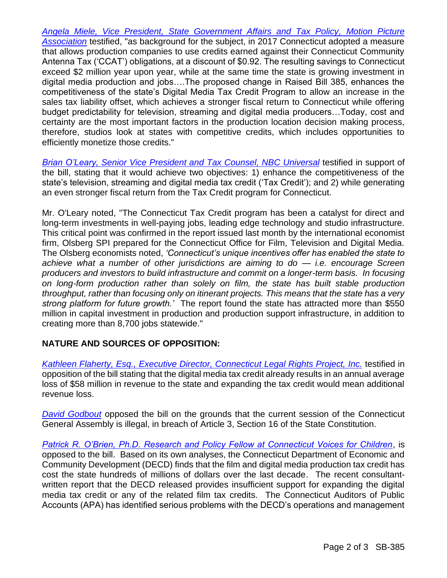*[Angela Miele, Vice President, State Government Affairs and Tax Policy,](https://cga.ct.gov/2022/FINdata/Tmy/2022SB-00385-R000315-Miele,%20Angela,%20Vice%20President,%20State%20Government%20Affairs%20and%20Tax%20Policy,%20Motion%20Picture%20Association%20-%20Support-TMY.PDF) Motion Picture [Association](https://cga.ct.gov/2022/FINdata/Tmy/2022SB-00385-R000315-Miele,%20Angela,%20Vice%20President,%20State%20Government%20Affairs%20and%20Tax%20Policy,%20Motion%20Picture%20Association%20-%20Support-TMY.PDF)* testified, "as background for the subject, in 2017 Connecticut adopted a measure that allows production companies to use credits earned against their Connecticut Community Antenna Tax ('CCAT') obligations, at a discount of \$0.92. The resulting savings to Connecticut exceed \$2 million year upon year, while at the same time the state is growing investment in digital media production and jobs….The proposed change in Raised Bill 385, enhances the competitiveness of the state's Digital Media Tax Credit Program to allow an increase in the sales tax liability offset, which achieves a stronger fiscal return to Connecticut while offering budget predictability for television, streaming and digital media producers…Today, cost and certainty are the most important factors in the production location decision making process, therefore, studios look at states with competitive credits, which includes opportunities to efficiently monetize those credits."

*[Brian O'Leary, Senior Vice President and Tax Counsel, NBC](https://cga.ct.gov/2022/FINdata/Tmy/2022SB-00385-R000315-O%27Leary,%20Brian,%20Senior%20Vice%20President%20and%20Tax%20Counsel,%20NBC%20Universal%20-%20Support-TMY.PDF) Universal* testified in support of the bill, stating that it would achieve two objectives: 1) enhance the competitiveness of the state's television, streaming and digital media tax credit ('Tax Credit'); and 2) while generating an even stronger fiscal return from the Tax Credit program for Connecticut.

Mr. O'Leary noted, "The Connecticut Tax Credit program has been a catalyst for direct and long-term investments in well-paying jobs, leading edge technology and studio infrastructure. This critical point was confirmed in the report issued last month by the international economist firm, Olsberg SPI prepared for the Connecticut Office for Film, Television and Digital Media. The Olsberg economists noted, *'Connecticut's unique incentives offer has enabled the state to achieve what a number of other jurisdictions are aiming to do — i.e. encourage Screen producers and investors to build infrastructure and commit on a longer-term basis. In focusing on long-form production rather than solely on film, the state has built stable production throughput, rather than focusing only on itinerant projects. This means that the state has a very strong platform for future growth.'* The report found the state has attracted more than \$550 million in capital investment in production and production support infrastructure, in addition to creating more than 8,700 jobs statewide."

## **NATURE AND SOURCES OF OPPOSITION:**

*[Kathleen Flaherty, Esq., Executive Director, Connecticut](https://cga.ct.gov/2022/FINdata/Tmy/2022SB-00385-R000315-Flaherty,%20Kathleen,%20Executive%20Director,%20Connecticut%20Legal%20Rights%20Project,%20Inc.%20-%20Opposed-TMY.PDF) Legal Rights Project, Inc.* testified in opposition of the bill stating that the digital media tax credit already results in an annual average loss of \$58 million in revenue to the state and expanding the tax credit would mean additional revenue loss.

*[David Godbout](https://cga.ct.gov/2022/FINdata/Tmy/2022SB-00385-R000315-Godbout,%20David%20-%20Opposed-TMY.PDF)* opposed the bill on the grounds that the current session of the Connecticut General Assembly is illegal, in breach of Article 3, Section 16 of the State Constitution.

*[Patrick R. O'Brien, Ph.D. Research and Policy Fellow at Connecticut Voices for Children](https://cga.ct.gov/2022/FINdata/Tmy/2022SB-00385-R000315-O%27Brien,%20Patrick,%20PhD,%20Research%20and%20Policy%20Fellow,%20Connecticut%20Voices%20for%20Children%20-%20Opposed-TMY.PDF)*, is opposed to the bill. Based on its own analyses, the Connecticut Department of Economic and Community Development (DECD) finds that the film and digital media production tax credit has cost the state hundreds of millions of dollars over the last decade. The recent consultantwritten report that the DECD released provides insufficient support for expanding the digital media tax credit or any of the related film tax credits. The Connecticut Auditors of Public Accounts (APA) has identified serious problems with the DECD's operations and management